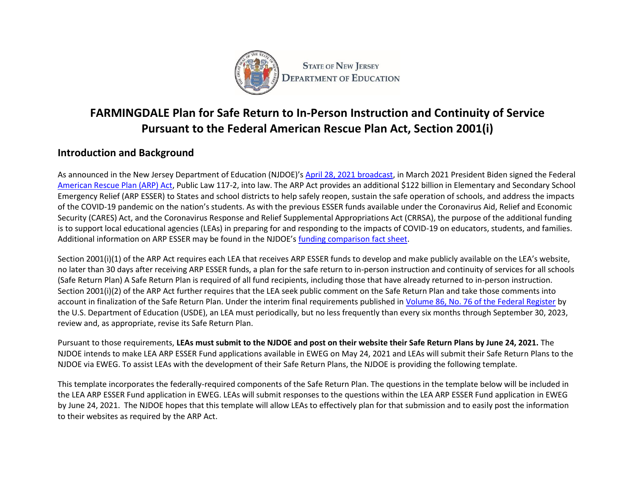

# **FARMINGDALE Plan for Safe Return to In-Person Instruction and Continuity of Service Pursuant to the Federal American Rescue Plan Act, Section 2001(i)**

# **Introduction and Background**

As announced in the New Jersey Department of Education (NJDOE)'s [April 28, 2021 broadcast,](https://www.nj.gov/education/broadcasts/2021/april/AmericanRescuePlanESSERFunds.pdf) in March 2021 President Biden signed the Federal [American Rescue Plan \(ARP\) Act,](https://www.congress.gov/117/bills/hr1319/BILLS-117hr1319enr.pdf) Public Law 117-2, into law. The ARP Act provides an additional \$122 billion in Elementary and Secondary School Emergency Relief (ARP ESSER) to States and school districts to help safely reopen, sustain the safe operation of schools, and address the impacts of the COVID-19 pandemic on the nation's students. As with the previous ESSER funds available under the Coronavirus Aid, Relief and Economic Security (CARES) Act, and the Coronavirus Response and Relief Supplemental Appropriations Act (CRRSA), the purpose of the additional funding is to support local educational agencies (LEAs) in preparing for and responding to the impacts of COVID-19 on educators, students, and families. Additional information on ARP ESSER may be found in the NJDOE's [funding comparison fact sheet.](https://www.nj.gov/education/esser/docs/ESSERFactSheet.pdf)

Section 2001(i)(1) of the ARP Act requires each LEA that receives ARP ESSER funds to develop and make publicly available on the LEA's website, no later than 30 days after receiving ARP ESSER funds, a plan for the safe return to in-person instruction and continuity of services for all schools (Safe Return Plan) A Safe Return Plan is required of all fund recipients, including those that have already returned to in-person instruction. Section 2001(i)(2) of the ARP Act further requires that the LEA seek public comment on the Safe Return Plan and take those comments into account in finalization of the Safe Return Plan. Under the interim final requirements published in [Volume 86, No. 76 of the Federal Register](https://www.govinfo.gov/content/pkg/FR-2021-04-22/pdf/2021-08359.pdf) by the U.S. Department of Education (USDE), an LEA must periodically, but no less frequently than every six months through September 30, 2023, review and, as appropriate, revise its Safe Return Plan.

Pursuant to those requirements, **LEAs must submit to the NJDOE and post on their website their Safe Return Plans by June 24, 2021.** The NJDOE intends to make LEA ARP ESSER Fund applications available in EWEG on May 24, 2021 and LEAs will submit their Safe Return Plans to the NJDOE via EWEG. To assist LEAs with the development of their Safe Return Plans, the NJDOE is providing the following template.

This template incorporates the federally-required components of the Safe Return Plan. The questions in the template below will be included in the LEA ARP ESSER Fund application in EWEG. LEAs will submit responses to the questions within the LEA ARP ESSER Fund application in EWEG by June 24, 2021. The NJDOE hopes that this template will allow LEAs to effectively plan for that submission and to easily post the information to their websites as required by the ARP Act.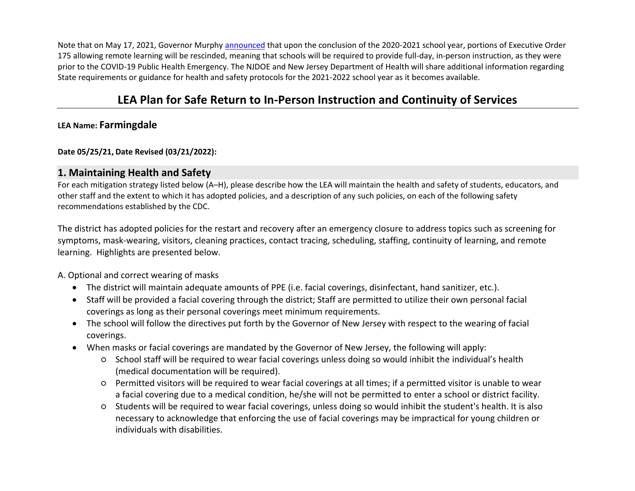Note that on May 17, 2021, Governor Murph[y announced](https://nj.gov/governor/news/news/562021/approved/20210517a.shtml) that upon the conclusion of the 2020-2021 school year, portions of Executive Order 175 allowing remote learning will be rescinded, meaning that schools will be required to provide full-day, in-person instruction, as they were prior to the COVID-19 Public Health Emergency. The NJDOE and New Jersey Department of Health will share additional information regarding State requirements or guidance for health and safety protocols for the 2021-2022 school year as it becomes available.

# **LEA Plan for Safe Return to In-Person Instruction and Continuity of Services**

## **LEA Name: Farmingdale**

#### **Date 05/25/21, Date Revised (03/21/2022):**

### **1. Maintaining Health and Safety**

For each mitigation strategy listed below (A–H), please describe how the LEA will maintain the health and safety of students, educators, and other staff and the extent to which it has adopted policies, and a description of any such policies, on each of the following safety recommendations established by the CDC.

The district has adopted policies for the restart and recovery after an emergency closure to address topics such as screening for symptoms, mask-wearing, visitors, cleaning practices, contact tracing, scheduling, staffing, continuity of learning, and remote learning. Highlights are presented below.

A. Optional and correct wearing of masks

- The district will maintain adequate amounts of PPE (i.e. facial coverings, disinfectant, hand sanitizer, etc.).
- Staff will be provided a facial covering through the district; Staff are permitted to utilize their own personal facial coverings as long as their personal coverings meet minimum requirements.
- The school will follow the directives put forth by the Governor of New Jersey with respect to the wearing of facial coverings.
- When masks or facial coverings are mandated by the Governor of New Jersey, the following will apply:
	- School staff will be required to wear facial coverings unless doing so would inhibit the individual's health (medical documentation will be required).
	- Permitted visitors will be required to wear facial coverings at all times; if a permitted visitor is unable to wear a facial covering due to a medical condition, he/she will not be permitted to enter a school or district facility.
	- Students will be required to wear facial coverings, unless doing so would inhibit the student's health. It is also necessary to acknowledge that enforcing the use of facial coverings may be impractical for young children or individuals with disabilities.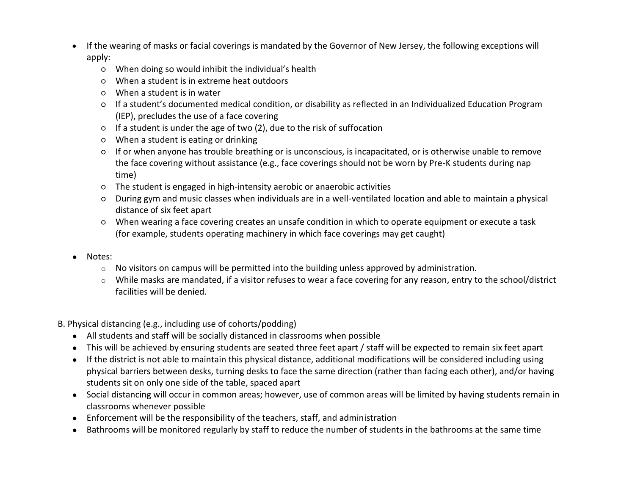- If the wearing of masks or facial coverings is mandated by the Governor of New Jersey, the following exceptions will apply:
	- When doing so would inhibit the individual's health
	- When a student is in extreme heat outdoors
	- When a student is in water
	- If a student's documented medical condition, or disability as reflected in an Individualized Education Program (IEP), precludes the use of a face covering
	- If a student is under the age of two (2), due to the risk of suffocation
	- When a student is eating or drinking
	- If or when anyone has trouble breathing or is unconscious, is incapacitated, or is otherwise unable to remove the face covering without assistance (e.g., face coverings should not be worn by Pre-K students during nap time)
	- The student is engaged in high-intensity aerobic or anaerobic activities
	- During gym and music classes when individuals are in a well-ventilated location and able to maintain a physical distance of six feet apart
	- When wearing a face covering creates an unsafe condition in which to operate equipment or execute a task (for example, students operating machinery in which face coverings may get caught)
- Notes:
	- $\circ$  No visitors on campus will be permitted into the building unless approved by administration.
	- $\circ$  While masks are mandated, if a visitor refuses to wear a face covering for any reason, entry to the school/district facilities will be denied.
- B. Physical distancing (e.g., including use of cohorts/podding)
	- All students and staff will be socially distanced in classrooms when possible
	- This will be achieved by ensuring students are seated three feet apart / staff will be expected to remain six feet apart
	- If the district is not able to maintain this physical distance, additional modifications will be considered including using physical barriers between desks, turning desks to face the same direction (rather than facing each other), and/or having students sit on only one side of the table, spaced apart
	- Social distancing will occur in common areas; however, use of common areas will be limited by having students remain in classrooms whenever possible
	- Enforcement will be the responsibility of the teachers, staff, and administration
	- Bathrooms will be monitored regularly by staff to reduce the number of students in the bathrooms at the same time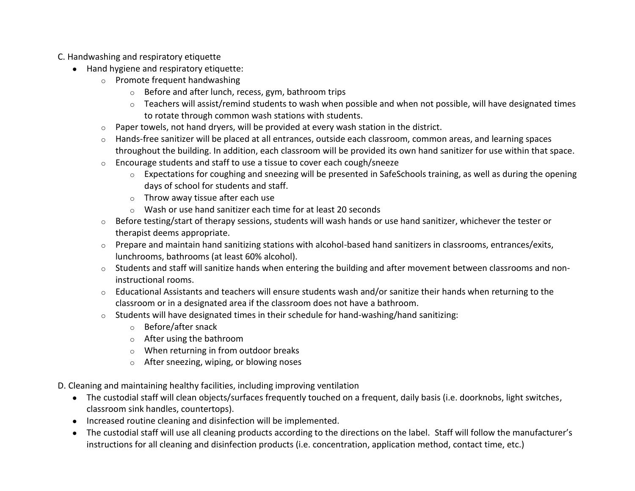C. Handwashing and respiratory etiquette

- Hand hygiene and respiratory etiquette:
	- o Promote frequent handwashing
		- o Before and after lunch, recess, gym, bathroom trips
		- o Teachers will assist/remind students to wash when possible and when not possible, will have designated times to rotate through common wash stations with students.
	- $\circ$  Paper towels, not hand dryers, will be provided at every wash station in the district.
	- o Hands-free sanitizer will be placed at all entrances, outside each classroom, common areas, and learning spaces throughout the building. In addition, each classroom will be provided its own hand sanitizer for use within that space.
	- o Encourage students and staff to use a tissue to cover each cough/sneeze
		- o Expectations for coughing and sneezing will be presented in SafeSchools training, as well as during the opening days of school for students and staff.
		- $\circ$  Throw away tissue after each use
		- o Wash or use hand sanitizer each time for at least 20 seconds
	- $\circ$  Before testing/start of therapy sessions, students will wash hands or use hand sanitizer, whichever the tester or therapist deems appropriate.
	- o Prepare and maintain hand sanitizing stations with alcohol-based hand sanitizers in classrooms, entrances/exits, lunchrooms, bathrooms (at least 60% alcohol).
	- $\circ$  Students and staff will sanitize hands when entering the building and after movement between classrooms and noninstructional rooms.
	- $\circ$  Educational Assistants and teachers will ensure students wash and/or sanitize their hands when returning to the classroom or in a designated area if the classroom does not have a bathroom.
	- o Students will have designated times in their schedule for hand-washing/hand sanitizing:
		- o Before/after snack
		- o After using the bathroom
		- o When returning in from outdoor breaks
		- o After sneezing, wiping, or blowing noses
- D. Cleaning and maintaining healthy facilities, including improving ventilation
	- The custodial staff will clean objects/surfaces frequently touched on a frequent, daily basis (i.e. doorknobs, light switches, classroom sink handles, countertops).
	- Increased routine cleaning and disinfection will be implemented.
	- The custodial staff will use all cleaning products according to the directions on the label. Staff will follow the manufacturer's instructions for all cleaning and disinfection products (i.e. concentration, application method, contact time, etc.)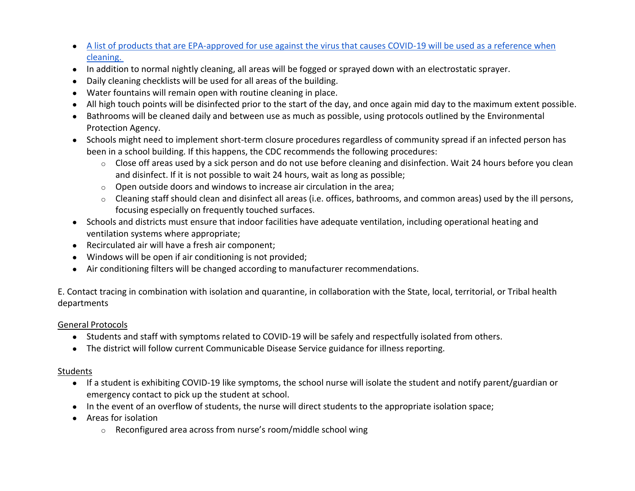- [A list of products that are EPA-approved for use against the virus that causes COVID-19 will be used as a reference when](https://www.epa.gov/pesticide-registration/list-n-disinfectants-use-against-sars-cov-2-covid-19)  [cleaning.](https://www.epa.gov/pesticide-registration/list-n-disinfectants-use-against-sars-cov-2-covid-19)
- In addition to normal nightly cleaning, all areas will be fogged or sprayed down with an electrostatic sprayer.
- Daily cleaning checklists will be used for all areas of the building.
- Water fountains will remain open with routine cleaning in place.
- All high touch points will be disinfected prior to the start of the day, and once again mid day to the maximum extent possible.
- Bathrooms will be cleaned daily and between use as much as possible, using protocols outlined by the Environmental Protection Agency.
- Schools might need to implement short-term closure procedures regardless of community spread if an infected person has been in a school building. If this happens, the CDC recommends the following procedures:
	- $\circ$  Close off areas used by a sick person and do not use before cleaning and disinfection. Wait 24 hours before you clean and disinfect. If it is not possible to wait 24 hours, wait as long as possible;
	- $\circ$  Open outside doors and windows to increase air circulation in the area;
	- o Cleaning staff should clean and disinfect all areas (i.e. offices, bathrooms, and common areas) used by the ill persons, focusing especially on frequently touched surfaces.
- Schools and districts must ensure that indoor facilities have adequate ventilation, including operational heating and ventilation systems where appropriate;
- Recirculated air will have a fresh air component;
- Windows will be open if air conditioning is not provided;
- Air conditioning filters will be changed according to manufacturer recommendations.

E. Contact tracing in combination with isolation and quarantine, in collaboration with the State, local, territorial, or Tribal health departments

## General Protocols

- Students and staff with symptoms related to COVID-19 will be safely and respectfully isolated from others.
- The district will follow current Communicable Disease Service guidance for illness reporting.

### Students

- If a student is exhibiting COVID-19 like symptoms, the school nurse will isolate the student and notify parent/guardian or emergency contact to pick up the student at school.
- In the event of an overflow of students, the nurse will direct students to the appropriate isolation space;
- Areas for isolation
	- o Reconfigured area across from nurse's room/middle school wing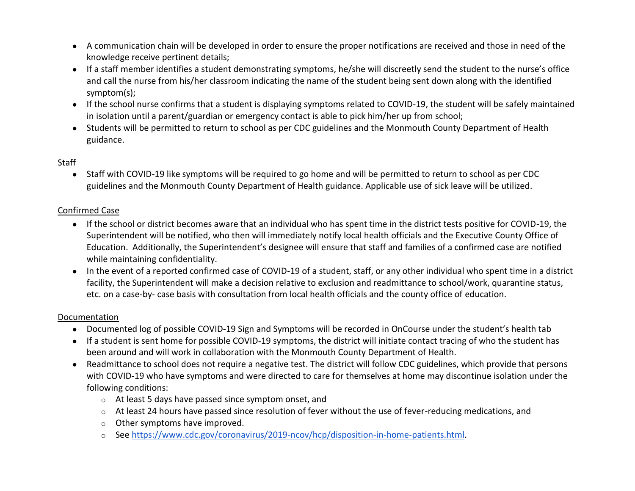- A communication chain will be developed in order to ensure the proper notifications are received and those in need of the knowledge receive pertinent details;
- If a staff member identifies a student demonstrating symptoms, he/she will discreetly send the student to the nurse's office and call the nurse from his/her classroom indicating the name of the student being sent down along with the identified symptom(s);
- If the school nurse confirms that a student is displaying symptoms related to COVID-19, the student will be safely maintained in isolation until a parent/guardian or emergency contact is able to pick him/her up from school;
- Students will be permitted to return to school as per CDC guidelines and the Monmouth County Department of Health guidance.

## Staff

● Staff with COVID-19 like symptoms will be required to go home and will be permitted to return to school as per CDC guidelines and the Monmouth County Department of Health guidance. Applicable use of sick leave will be utilized.

#### Confirmed Case

- If the school or district becomes aware that an individual who has spent time in the district tests positive for COVID-19, the Superintendent will be notified, who then will immediately notify local health officials and the Executive County Office of Education. Additionally, the Superintendent's designee will ensure that staff and families of a confirmed case are notified while maintaining confidentiality.
- In the event of a reported confirmed case of COVID-19 of a student, staff, or any other individual who spent time in a district facility, the Superintendent will make a decision relative to exclusion and readmittance to school/work, quarantine status, etc. on a case-by- case basis with consultation from local health officials and the county office of education.

#### Documentation

- Documented log of possible COVID-19 Sign and Symptoms will be recorded in OnCourse under the student's health tab
- If a student is sent home for possible COVID-19 symptoms, the district will initiate contact tracing of who the student has been around and will work in collaboration with the Monmouth County Department of Health.
- Readmittance to school does not require a negative test. The district will follow CDC guidelines, which provide that persons with COVID-19 who have symptoms and were directed to care for themselves at home may discontinue isolation under the following conditions:
	- o At least 5 days have passed since symptom onset, and
	- $\circ$  At least 24 hours have passed since resolution of fever without the use of fever-reducing medications, and
	- o Other symptoms have improved.
	- o See [https://www.cdc.gov/coronavirus/2019-ncov/hcp/disposition-in-home-patients.html.](https://www.cdc.gov/coronavirus/2019-ncov/hcp/disposition-in-home-patients.html)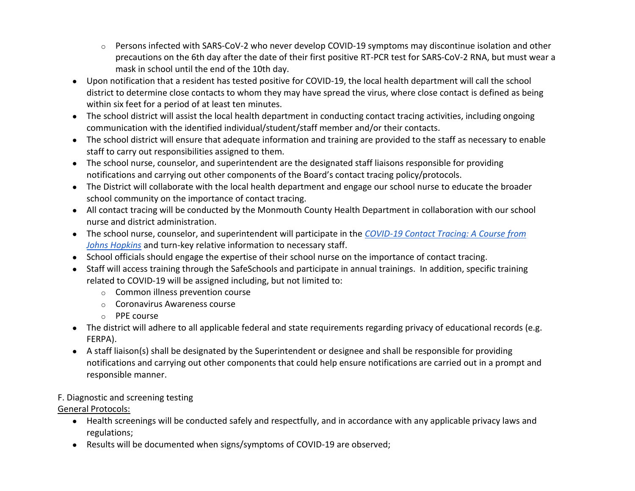- $\circ$  Persons infected with SARS-CoV-2 who never develop COVID-19 symptoms may discontinue isolation and other precautions on the 6th day after the date of their first positive RT-PCR test for SARS-CoV-2 RNA, but must wear a mask in school until the end of the 10th day.
- Upon notification that a resident has tested positive for COVID-19, the local health department will call the school district to determine close contacts to whom they may have spread the virus, where close contact is defined as being within six feet for a period of at least ten minutes.
- The school district will assist the local health department in conducting contact tracing activities, including ongoing communication with the identified individual/student/staff member and/or their contacts.
- The school district will ensure that adequate information and training are provided to the staff as necessary to enable staff to carry out responsibilities assigned to them.
- The school nurse, counselor, and superintendent are the designated staff liaisons responsible for providing notifications and carrying out other components of the Board's contact tracing policy/protocols.
- The District will collaborate with the local health department and engage our school nurse to educate the broader school community on the importance of contact tracing.
- All contact tracing will be conducted by the Monmouth County Health Department in collaboration with our school nurse and district administration.
- The school nurse, counselor, and superintendent will participate in the *[COVID-19 Contact Tracing: A Course from](https://coronavirus.jhu.edu/contact-tracing)  [Johns Hopkins](https://coronavirus.jhu.edu/contact-tracing)* and turn-key relative information to necessary staff.
- School officials should engage the expertise of their school nurse on the importance of contact tracing.
- Staff will access training through the SafeSchools and participate in annual trainings. In addition, specific training related to COVID-19 will be assigned including, but not limited to:
	- o Common illness prevention course
	- o Coronavirus Awareness course
	- o PPE course
- The district will adhere to all applicable federal and state requirements regarding privacy of educational records (e.g. FERPA).
- A staff liaison(s) shall be designated by the Superintendent or designee and shall be responsible for providing notifications and carrying out other components that could help ensure notifications are carried out in a prompt and responsible manner.

# F. Diagnostic and screening testing

## General Protocols:

- Health screenings will be conducted safely and respectfully, and in accordance with any applicable privacy laws and regulations;
- Results will be documented when signs/symptoms of COVID-19 are observed;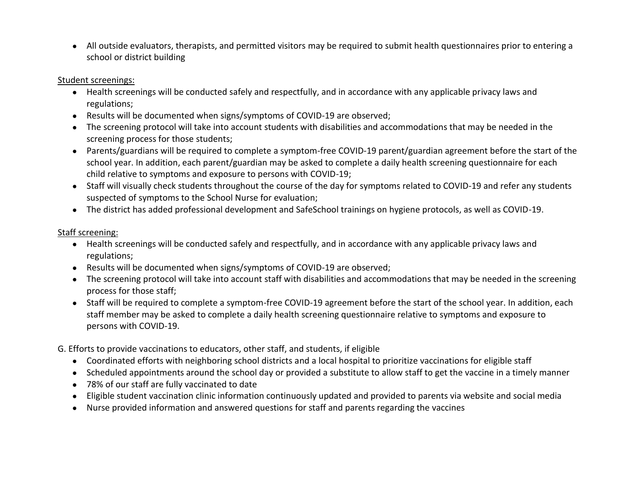● All outside evaluators, therapists, and permitted visitors may be required to submit health questionnaires prior to entering a school or district building

#### Student screenings:

- Health screenings will be conducted safely and respectfully, and in accordance with any applicable privacy laws and regulations;
- Results will be documented when signs/symptoms of COVID-19 are observed;
- The screening protocol will take into account students with disabilities and accommodations that may be needed in the screening process for those students;
- Parents/guardians will be required to complete a symptom-free COVID-19 parent/guardian agreement before the start of the school year. In addition, each parent/guardian may be asked to complete a daily health screening questionnaire for each child relative to symptoms and exposure to persons with COVID-19;
- Staff will visually check students throughout the course of the day for symptoms related to COVID-19 and refer any students suspected of symptoms to the School Nurse for evaluation;
- The district has added professional development and SafeSchool trainings on hygiene protocols, as well as COVID-19.

## Staff screening:

- Health screenings will be conducted safely and respectfully, and in accordance with any applicable privacy laws and regulations;
- Results will be documented when signs/symptoms of COVID-19 are observed;
- The screening protocol will take into account staff with disabilities and accommodations that may be needed in the screening process for those staff;
- Staff will be required to complete a symptom-free COVID-19 agreement before the start of the school year. In addition, each staff member may be asked to complete a daily health screening questionnaire relative to symptoms and exposure to persons with COVID-19.
- G. Efforts to provide vaccinations to educators, other staff, and students, if eligible
	- Coordinated efforts with neighboring school districts and a local hospital to prioritize vaccinations for eligible staff
	- Scheduled appointments around the school day or provided a substitute to allow staff to get the vaccine in a timely manner
	- 78% of our staff are fully vaccinated to date
	- Eligible student vaccination clinic information continuously updated and provided to parents via website and social media
	- Nurse provided information and answered questions for staff and parents regarding the vaccines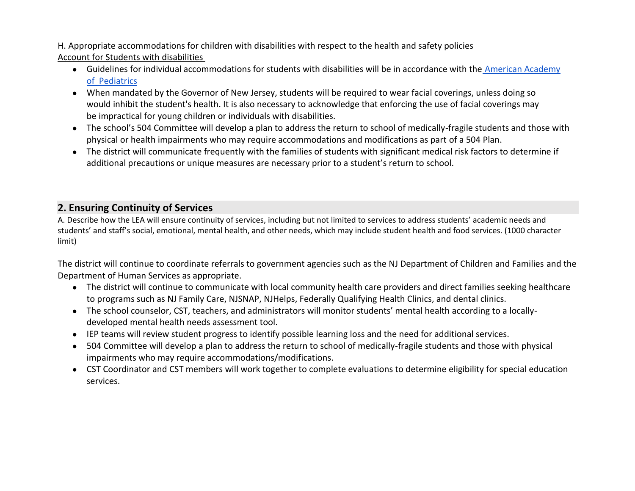H. Appropriate accommodations for children with disabilities with respect to the health and safety policies Account for Students with disabilities

- Guidelines for individual accommodations for students with disabilities will be in accordance with the [American Academy](https://services.aap.org/en/pages/2019-novel-coronavirus-covid-19-infections/clinical-guidance/covid-19-planning-considerations-return-to-in-person-education-in-schools/)  of [Pediatrics](https://services.aap.org/en/pages/2019-novel-coronavirus-covid-19-infections/clinical-guidance/covid-19-planning-considerations-return-to-in-person-education-in-schools/)
- When mandated by the Governor of New Jersey, students will be required to wear facial coverings, unless doing so would inhibit the student's health. It is also necessary to acknowledge that enforcing the use of facial coverings may be impractical for young children or individuals with disabilities.
- The school's 504 Committee will develop a plan to address the return to school of medically-fragile students and those with physical or health impairments who may require accommodations and modifications as part of a 504 Plan.
- The district will communicate frequently with the families of students with significant medical risk factors to determine if additional precautions or unique measures are necessary prior to a student's return to school.

# **2. Ensuring Continuity of Services**

A. Describe how the LEA will ensure continuity of services, including but not limited to services to address students' academic needs and students' and staff's social, emotional, mental health, and other needs, which may include student health and food services. (1000 character limit)

The district will continue to coordinate referrals to government agencies such as the NJ Department of Children and Families and the Department of Human Services as appropriate.

- The district will continue to communicate with local community health care providers and direct families seeking healthcare to programs such as NJ Family Care, NJSNAP, NJHelps, Federally Qualifying Health Clinics, and dental clinics.
- The school counselor, CST, teachers, and administrators will monitor students' mental health according to a locallydeveloped mental health needs assessment tool.
- IEP teams will review student progress to identify possible learning loss and the need for additional services.
- 504 Committee will develop a plan to address the return to school of medically-fragile students and those with physical impairments who may require accommodations/modifications.
- CST Coordinator and CST members will work together to complete evaluations to determine eligibility for special education services.